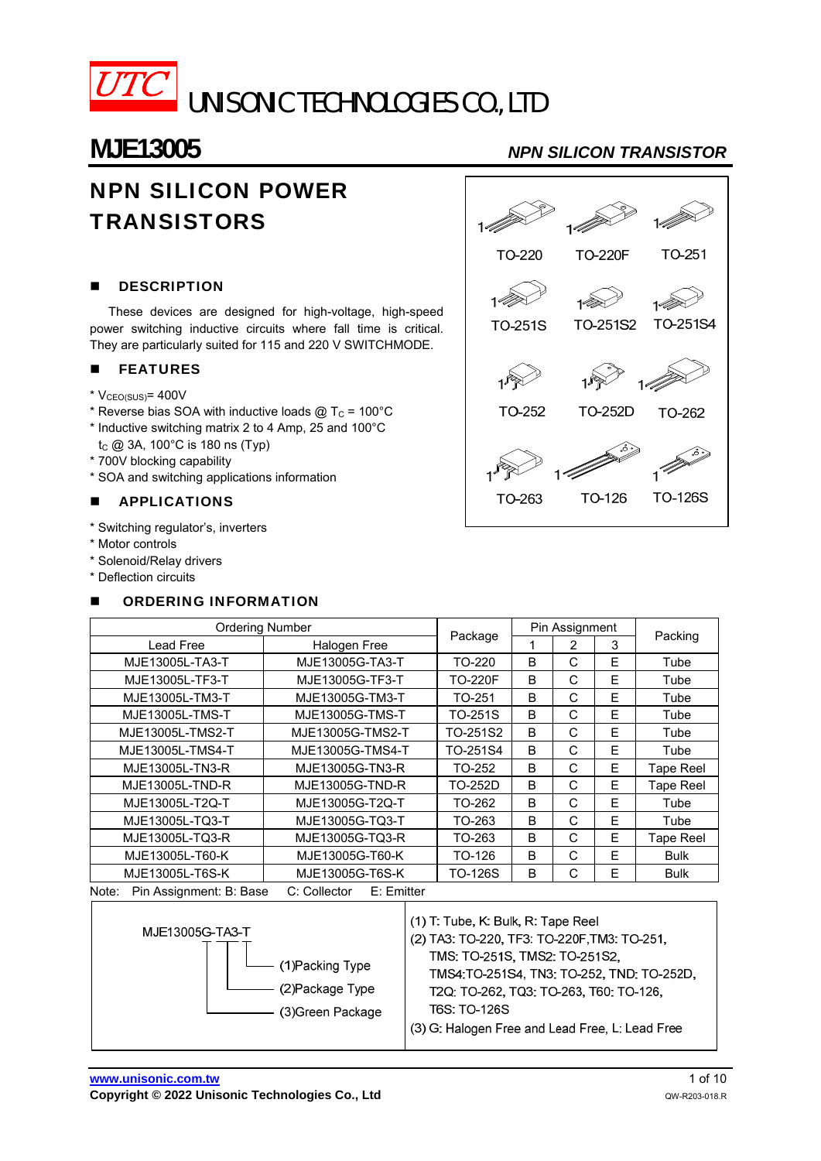

# NPN SILICON POWER **TRANSISTORS**

## **DESCRIPTION**

These devices are designed for high-voltage, high-speed power switching inductive circuits where fall time is critical. They are particularly suited for 115 and 220 V SWITCHMODE.

### **FEATURES**

- $*$  V<sub>CEO(SUS)</sub> = 400V
- \* Reverse bias SOA with inductive loads  $@$  T<sub>C</sub> = 100°C
- \* Inductive switching matrix 2 to 4 Amp, 25 and 100°С
- t<sub>c</sub>  $@$  3A, 100°C is 180 ns (Typ)
- \* 700V blocking capability
- \* SOA and switching applications information

### **APPLICATIONS**

- \* Switching regulator's, inverters
- \* Motor controls
- \* Solenoid/Relay drivers
- \* Deflection circuits

## ORDERING INFORMATION



| <b>Ordering Number</b>                                                                                                         |                  |                | Pin Assignment |        |   |                  |
|--------------------------------------------------------------------------------------------------------------------------------|------------------|----------------|----------------|--------|---|------------------|
| Lead Free                                                                                                                      | Halogen Free     | Package        |                | 3<br>2 |   | Packing          |
| MJE13005L-TA3-T                                                                                                                | MJE13005G-TA3-T  | TO-220         | B              | C      | F | Tube             |
| MJE13005L-TF3-T                                                                                                                | MJE13005G-TF3-T  | <b>TO-220F</b> | B              | C      | Е | Tube             |
| MJE13005L-TM3-T                                                                                                                | MJE13005G-TM3-T  | TO-251         | B              | C      | F | Tube             |
| MJE13005L-TMS-T                                                                                                                | MJE13005G-TMS-T  | TO-251S        | B              | C      | E | Tube             |
| MJE13005L-TMS2-T                                                                                                               | MJE13005G-TMS2-T | TO-251S2       | B              | C      | E | Tube             |
| MJE13005L-TMS4-T                                                                                                               | MJE13005G-TMS4-T | TO-251S4       | B              | C      | Е | Tube             |
| MJE13005L-TN3-R                                                                                                                | MJE13005G-TN3-R  | TO-252         | B              | C      | Е | <b>Tape Reel</b> |
| MJE13005L-TND-R                                                                                                                | MJE13005G-TND-R  | TO-252D        | B              | C      | Е | <b>Tape Reel</b> |
| MJE13005L-T2Q-T                                                                                                                | MJE13005G-T2Q-T  | TO-262         | B              | C      | E | Tube             |
| MJE13005L-TQ3-T                                                                                                                | MJE13005G-TQ3-T  | TO-263         | B              | C      | E | Tube             |
| MJE13005L-TQ3-R                                                                                                                | MJE13005G-TQ3-R  | TO-263         | B              | C      | E | <b>Tape Reel</b> |
| MJE13005L-T60-K                                                                                                                | MJE13005G-T60-K  | TO-126         | B              | C      | F | <b>Bulk</b>      |
| MJE13005L-T6S-K                                                                                                                | MJE13005G-T6S-K  | <b>TO-126S</b> | B              | С      | E | Bulk             |
| $N = + \sim$<br>Din Acojanmont: D. Dooo<br>$\bigcap$ $\bigcap$ $\bigcap$ $\bigcap$ $\bigcap$ $\bigcap$ $\bigcap$<br>E: Emiffor |                  |                |                |        |   |                  |

Note: Pin Assignment: B: Base C: Collector E: Emitter

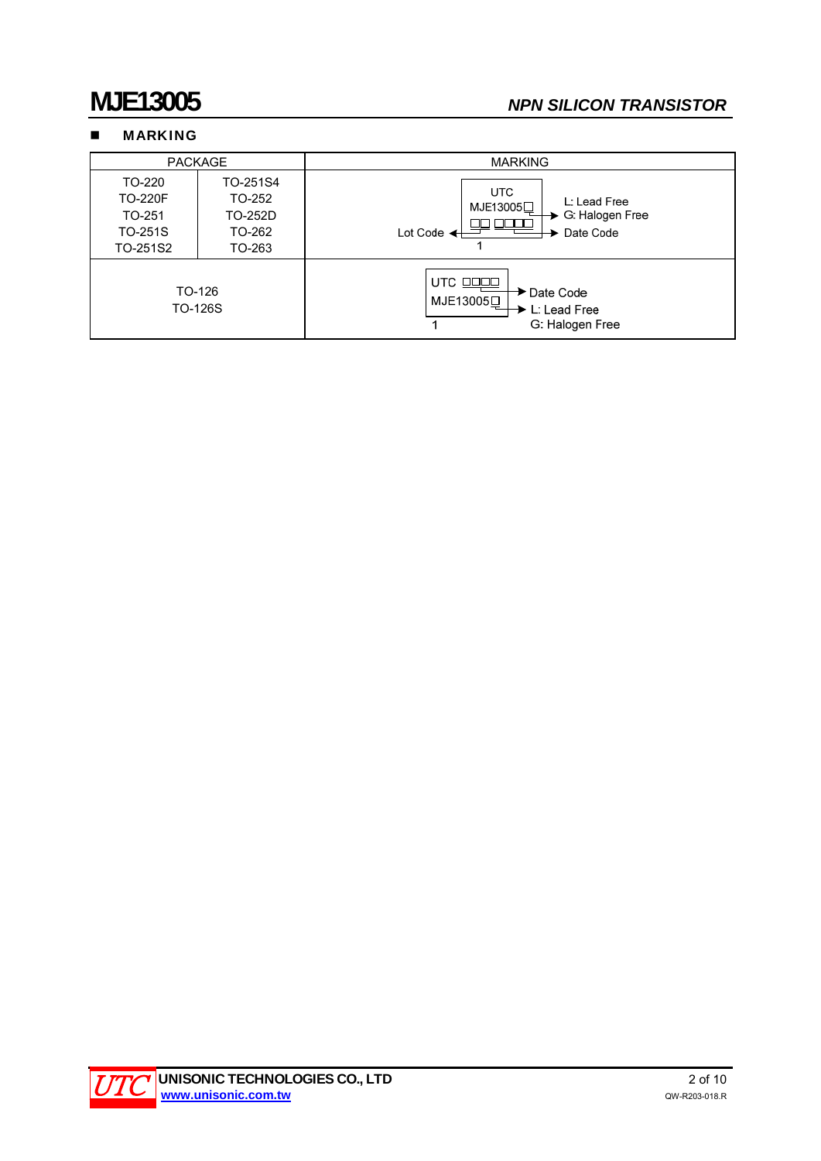## **MARKING**

| <b>PACKAGE</b>                                            |                                                   | <b>MARKING</b>                                                                                   |  |  |
|-----------------------------------------------------------|---------------------------------------------------|--------------------------------------------------------------------------------------------------|--|--|
| TO-220<br><b>TO-220F</b><br>TO-251<br>TO-251S<br>TO-251S2 | TO-251S4<br>TO-252<br>TO-252D<br>TO-262<br>TO-263 | <b>UTC</b><br>L: Lead Free<br>MJE13005□<br>G. Halogen Free<br>Date Code<br>Lot Code $\leftarrow$ |  |  |
| TO-126<br>TO-126S                                         |                                                   | UTC OOOD<br>→ Date Code<br>MJE13005□<br>L: Lead Free<br>G: Halogen Free                          |  |  |

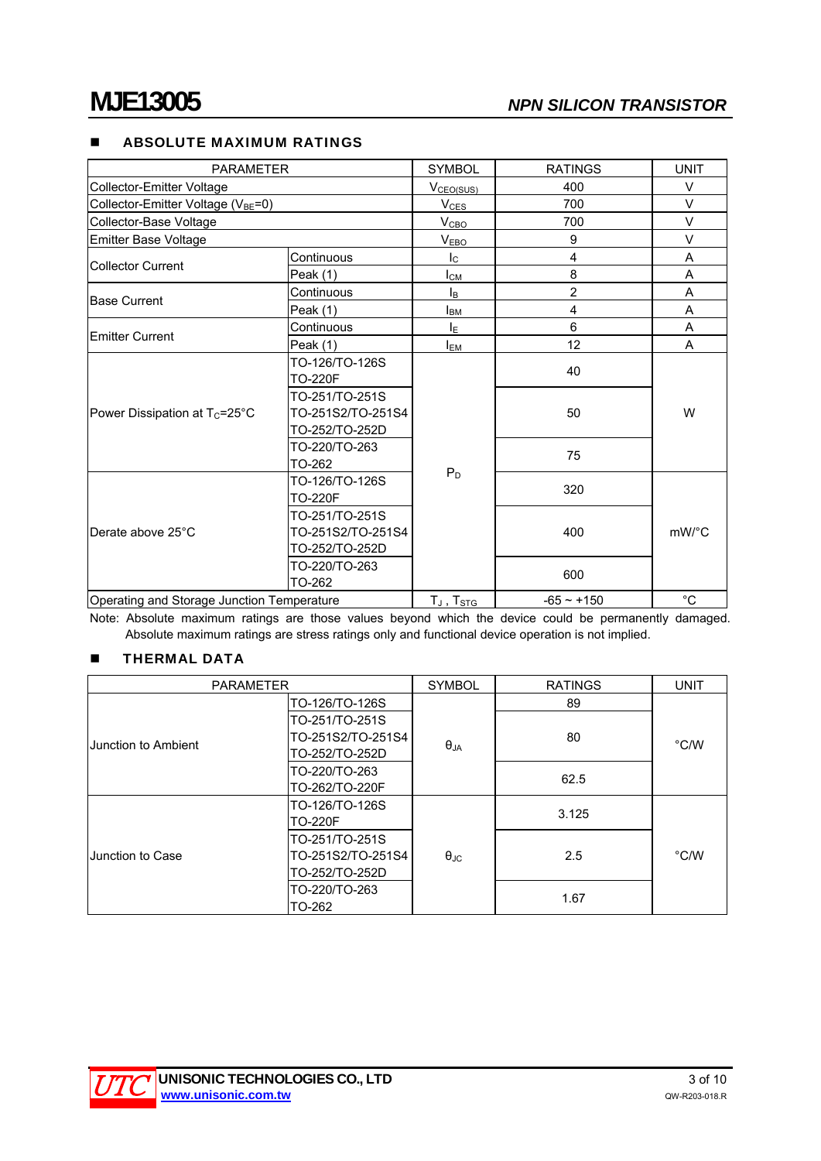### **ABSOLUTE MAXIMUM RATINGS**

| <b>PARAMETER</b>                               |                                                       | <b>SYMBOL</b>           | <b>RATINGS</b> | <b>UNIT</b>                          |
|------------------------------------------------|-------------------------------------------------------|-------------------------|----------------|--------------------------------------|
| Collector-Emitter Voltage                      |                                                       | V <sub>CEO(SUS)</sub>   | 400            | $\vee$                               |
| Collector-Emitter Voltage (V <sub>BE</sub> =0) |                                                       | $V_{CES}$               | 700            | $\vee$                               |
| Collector-Base Voltage                         |                                                       |                         | 700            | $\vee$                               |
| Emitter Base Voltage                           |                                                       | V <sub>EBO</sub>        | 9              | $\vee$                               |
| <b>Collector Current</b>                       | Continuous                                            | $\mathsf{I}_\mathsf{C}$ | 4              | A                                    |
|                                                | Peak (1)                                              | $I_{CM}$                | 8              | A                                    |
| <b>Base Current</b>                            | Continuous                                            | lв                      | $\overline{2}$ | A                                    |
|                                                | Peak (1)                                              | <b>I</b> <sub>BM</sub>  | $\overline{4}$ | A                                    |
| Emitter Current                                | Continuous                                            | ΙE                      | 6              | A                                    |
|                                                | Peak (1)                                              | <b>I</b> <sub>EM</sub>  | 12             | A                                    |
| Power Dissipation at T <sub>c</sub> =25°C      | TO-126/TO-126S<br><b>TO-220F</b>                      |                         | 40             |                                      |
|                                                | TO-251/TO-251S<br>TO-251S2/TO-251S4<br>TO-252/TO-252D |                         | 50             | W                                    |
|                                                | TO-220/TO-263<br>TO-262                               | $P_D$                   | 75             |                                      |
| Derate above 25°C                              | TO-126/TO-126S<br><b>TO-220F</b>                      |                         | 320            |                                      |
|                                                | TO-251/TO-251S<br>TO-251S2/TO-251S4<br>TO-252/TO-252D |                         | 400            | $mW$ <sup><math>\circ</math></sup> C |
|                                                | TO-220/TO-263<br>TO-262                               |                         | 600            |                                      |
| Operating and Storage Junction Temperature     |                                                       | $T_J$ , $T_{STG}$       | $-65 - +150$   | $^{\circ}C$                          |

Note: Absolute maximum ratings are those values beyond which the device could be permanently damaged. Absolute maximum ratings are stress ratings only and functional device operation is not implied.

## **THERMAL DATA**

| <b>PARAMETER</b>    |                   | <b>SYMBOL</b>                        | <b>RATINGS</b> |      |  |
|---------------------|-------------------|--------------------------------------|----------------|------|--|
|                     | TO-126/TO-126S    |                                      | 89             |      |  |
|                     | TO-251/TO-251S    |                                      |                | °C/W |  |
| Junction to Ambient | TO-251S2/TO-251S4 | 80<br>$\theta_{JA}$<br>62.5<br>3.125 |                |      |  |
|                     | TO-252/TO-252D    |                                      |                |      |  |
|                     | TO-220/TO-263     |                                      |                |      |  |
|                     | TO-262/TO-220F    |                                      |                |      |  |
|                     | TO-126/TO-126S    |                                      |                | °C/W |  |
|                     | <b>TO-220F</b>    |                                      |                |      |  |
|                     | TO-251/TO-251S    |                                      |                |      |  |
| Junction to Case    | TO-251S2/TO-251S4 | $\theta_{\rm JC}$                    | 2.5            |      |  |
|                     | TO-252/TO-252D    |                                      |                |      |  |
|                     | TO-220/TO-263     |                                      | 1.67           |      |  |
|                     | TO-262            |                                      |                |      |  |

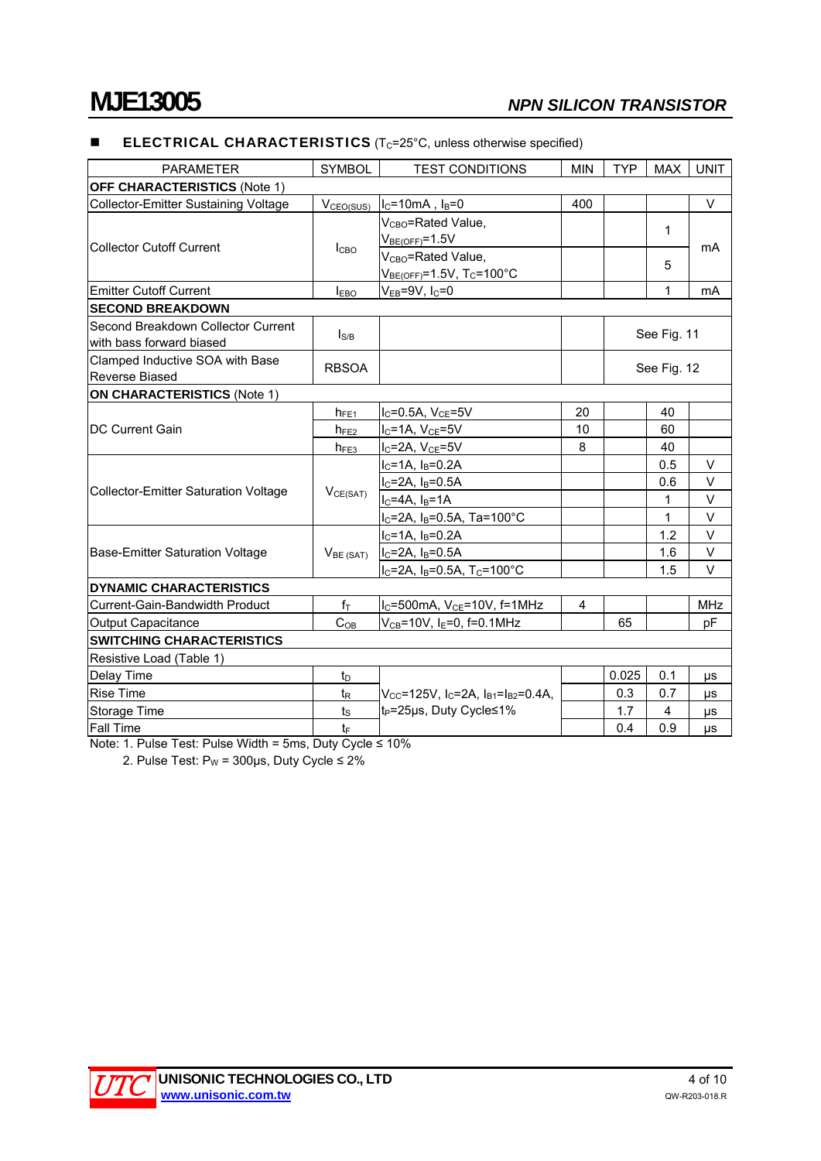## **ELECTRICAL CHARACTERISTICS** ( $T_c$ =25 $^{\circ}$ C, unless otherwise specified)

| <b>PARAMETER</b>                            | <b>SYMBOL</b>         | <b>MIN</b><br><b>TEST CONDITIONS</b>                                          |     | <b>TYP</b>   | <b>MAX</b> | <b>UNIT</b> |
|---------------------------------------------|-----------------------|-------------------------------------------------------------------------------|-----|--------------|------------|-------------|
| <b>OFF CHARACTERISTICS (Note 1)</b>         |                       |                                                                               |     |              |            |             |
| Collector-Emitter Sustaining Voltage        | V <sub>CEO(SUS)</sub> | $I_C = 10mA$ , $I_B = 0$                                                      | 400 |              |            | V           |
|                                             | I <sub>CBO</sub>      | V <sub>CBO</sub> =Rated Value.                                                |     |              |            |             |
| <b>Collector Cutoff Current</b>             |                       | $V_{BE(OFF)} = 1.5V$                                                          |     | $\mathbf{1}$ |            | mA          |
|                                             |                       | V <sub>CBO</sub> =Rated Value,                                                |     |              | 5          |             |
|                                             |                       | $V_{BE(OFF)} = 1.5V$ , T <sub>C</sub> =100°C                                  |     |              |            |             |
| <b>Emitter Cutoff Current</b>               | $I_{EBO}$             | $V_{EB} = 9V$ , $I_C = 0$                                                     |     |              | 1          | mA          |
| <b>SECOND BREAKDOWN</b>                     |                       |                                                                               |     |              |            |             |
| Second Breakdown Collector Current          | $I_{S/B}$             |                                                                               |     |              |            |             |
| with bass forward biased                    |                       |                                                                               |     | See Fig. 11  |            |             |
| Clamped Inductive SOA with Base             | <b>RBSOA</b>          |                                                                               |     | See Fig. 12  |            |             |
| Reverse Biased                              |                       |                                                                               |     |              |            |             |
| <b>ON CHARACTERISTICS (Note 1)</b>          |                       |                                                                               |     |              |            |             |
|                                             | $h_{FE1}$             | $I_C = 0.5A$ , $V_{CE} = 5V$                                                  | 20  |              | 40         |             |
| <b>DC Current Gain</b>                      | $h_{FE2}$             | $I_C = 1A$ , $V_{CE} = 5V$                                                    | 10  |              | 60         |             |
|                                             | $h_{FE3}$             | $I_C = 2A$ , $V_{CE} = 5V$                                                    | 8   |              | 40         |             |
|                                             | VCE(SAT)              | $I_C = 1A$ , $I_B = 0.2A$                                                     |     |              | 0.5        | $\vee$      |
| <b>Collector-Emitter Saturation Voltage</b> |                       | $I_C = 2A$ , $I_B = 0.5A$                                                     |     |              | 0.6        | $\vee$      |
|                                             |                       | $I_C = 4A$ , $I_B = 1A$                                                       |     |              | 1          | V           |
|                                             |                       | $I_C = 2A$ , $I_B = 0.5A$ , Ta=100°C                                          |     |              | 1          | $\vee$      |
|                                             | $V_{BE(SAT)}$         | $I_C = 1A$ , $I_B = 0.2A$                                                     |     |              | 1.2        | $\vee$      |
| Base-Emitter Saturation Voltage             |                       | $ I_C=2A, I_B=0.5A$                                                           |     |              | 1.6        | $\vee$      |
|                                             |                       | $I_C = 2A$ , $I_B = 0.5A$ , $T_C = 100^{\circ}C$                              |     |              | 1.5        | V           |
| DYNAMIC CHARACTERISTICS                     |                       |                                                                               |     |              |            |             |
| Current-Gain-Bandwidth Product              | $f_{\top}$            | $I_C = 500$ mA, $V_{CE} = 10V$ , $f = 1MHz$                                   | 4   |              |            | <b>MHz</b>  |
| <b>Output Capacitance</b>                   | $C_{OB}$              | $V_{CB} = 10V$ , I <sub>E</sub> =0, f=0.1MHz                                  |     | 65           |            | pF          |
| <b>SWITCHING CHARACTERISTICS</b>            |                       |                                                                               |     |              |            |             |
| Resistive Load (Table 1)                    |                       |                                                                               |     |              |            |             |
| Delay Time                                  | $t_{\text{D}}$        |                                                                               |     | 0.025        | 0.1        | μs          |
| <b>Rise Time</b>                            | t <sub>R</sub>        | $V_{\rm CC}$ =125V, I $_{\rm C}$ =2A, I <sub>B1</sub> =I <sub>B2</sub> =0.4A, |     | 0.3          | 0.7        | μs          |
| Storage Time                                | $t_{\rm S}$           | t <sub>P</sub> =25µs, Duty Cycle≤1%                                           |     | 1.7          | 4          | μs          |
| <b>Fall Time</b>                            | $t_{\text{F}}$        |                                                                               |     | 0.4          | 0.9        | μs          |

Note: 1. Pulse Test: Pulse Width = 5ms, Duty Cycle ≤ 10%

2. Pulse Test:  $P_W = 300 \mu s$ , Duty Cycle  $\leq 2\%$ 

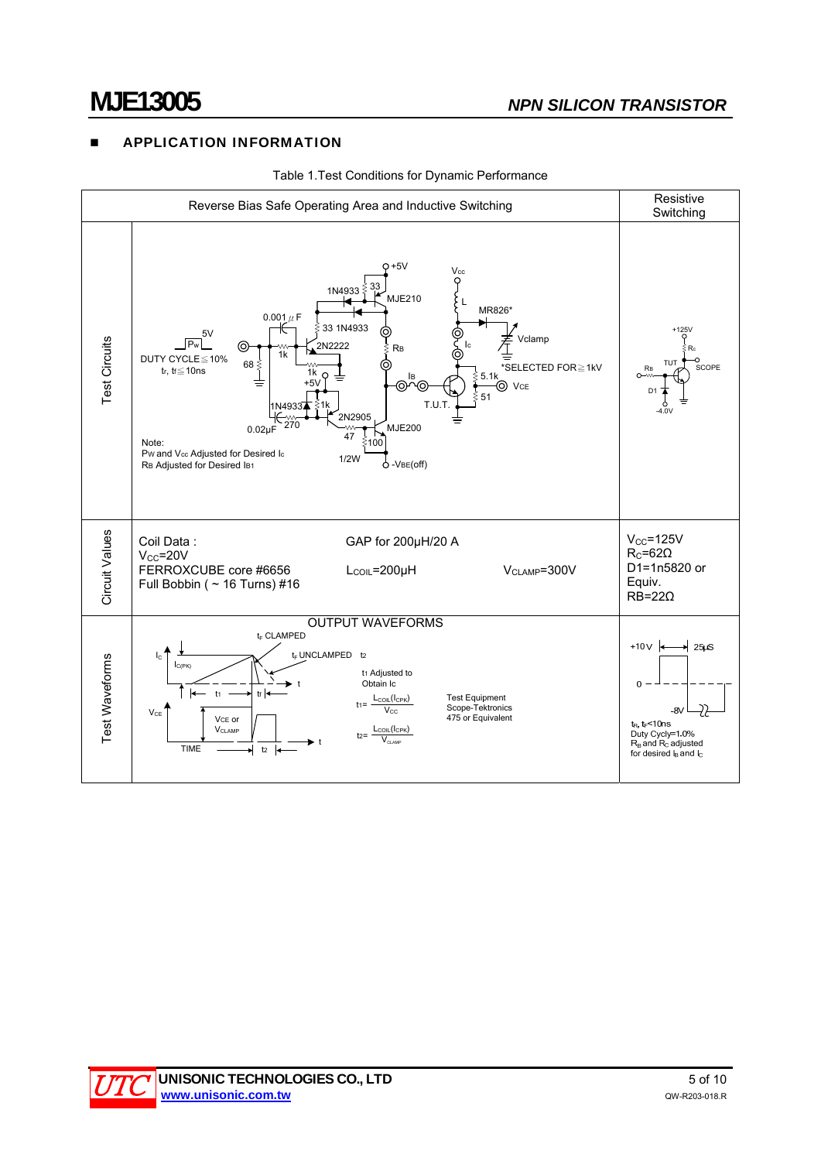## **E** APPLICATION INFORMATION



Table 1.Test Conditions for Dynamic Performance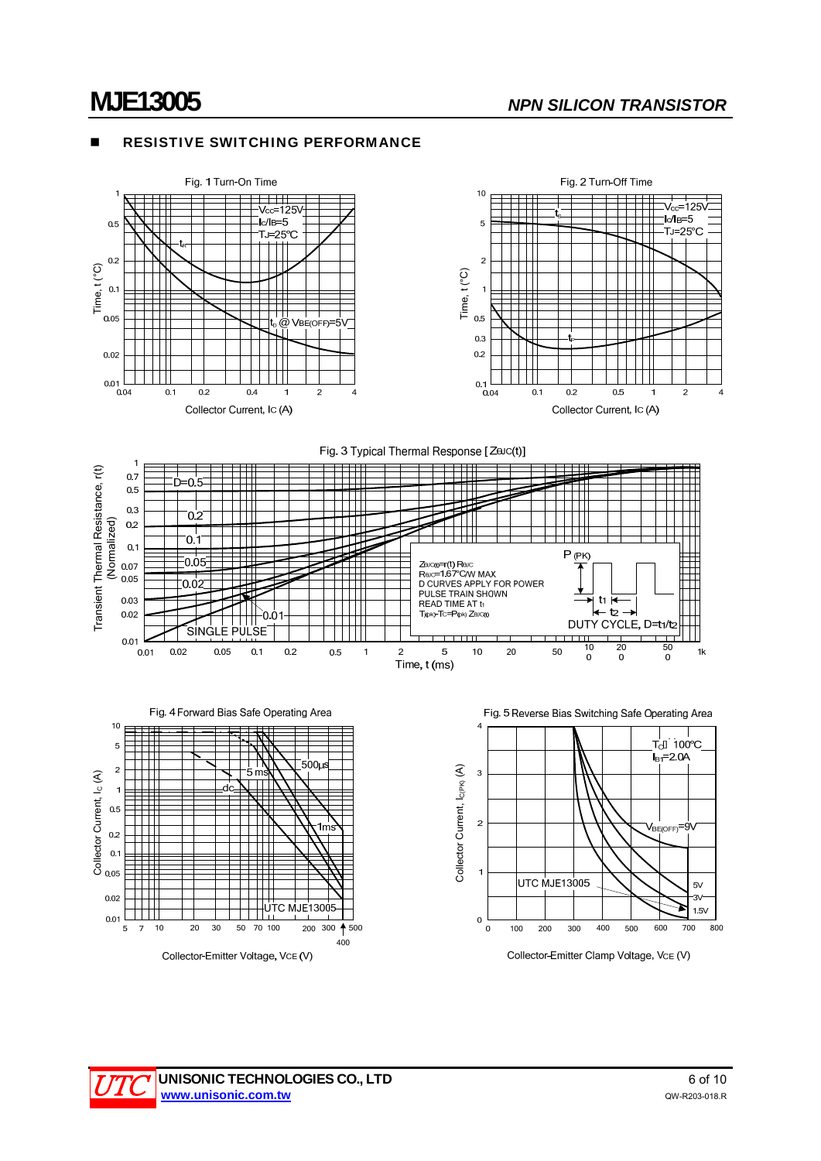### RESISTIVE SWITCHING PERFORMANCE



Fig. 3 Typical Thermal Response [ZaJc(t)]





Fig. 5 Reverse Bias Switching Safe Operating Area



Collector-Emitter Clamp Voltage, VCE (V)

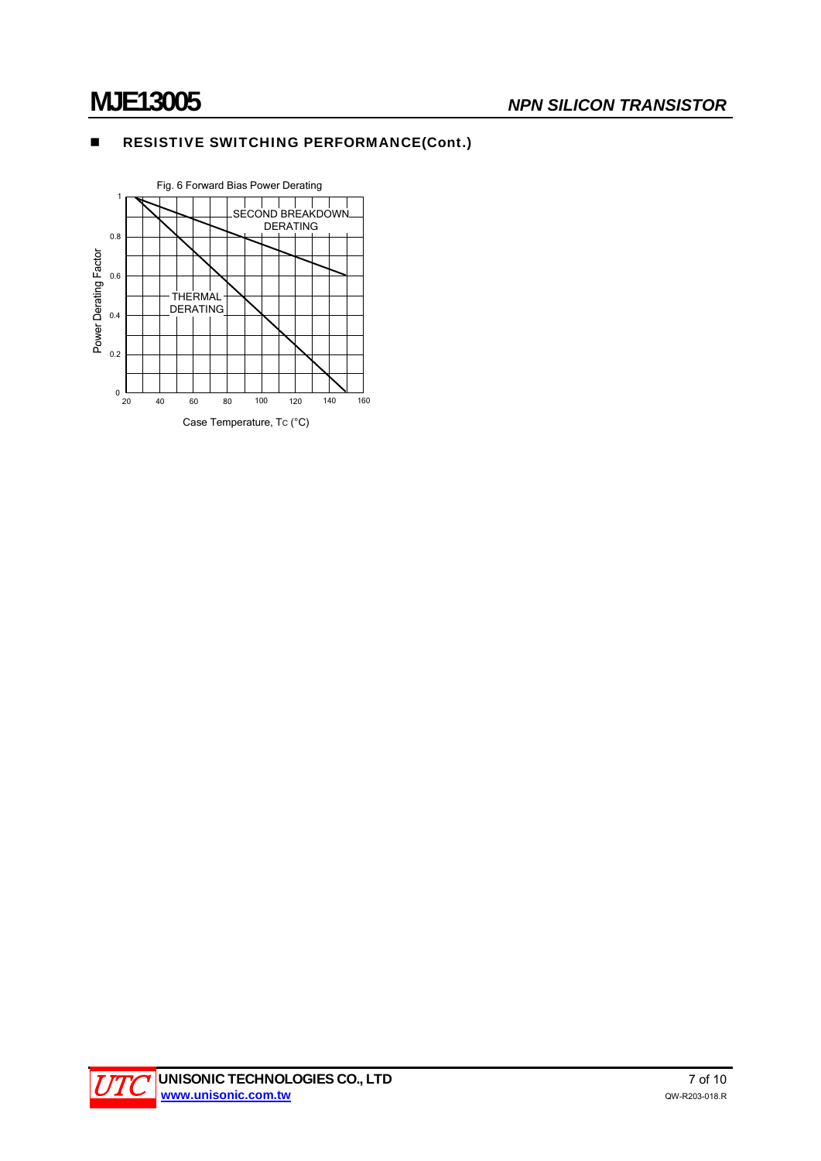## **RESISTIVE SWITCHING PERFORMANCE(Cont.)**



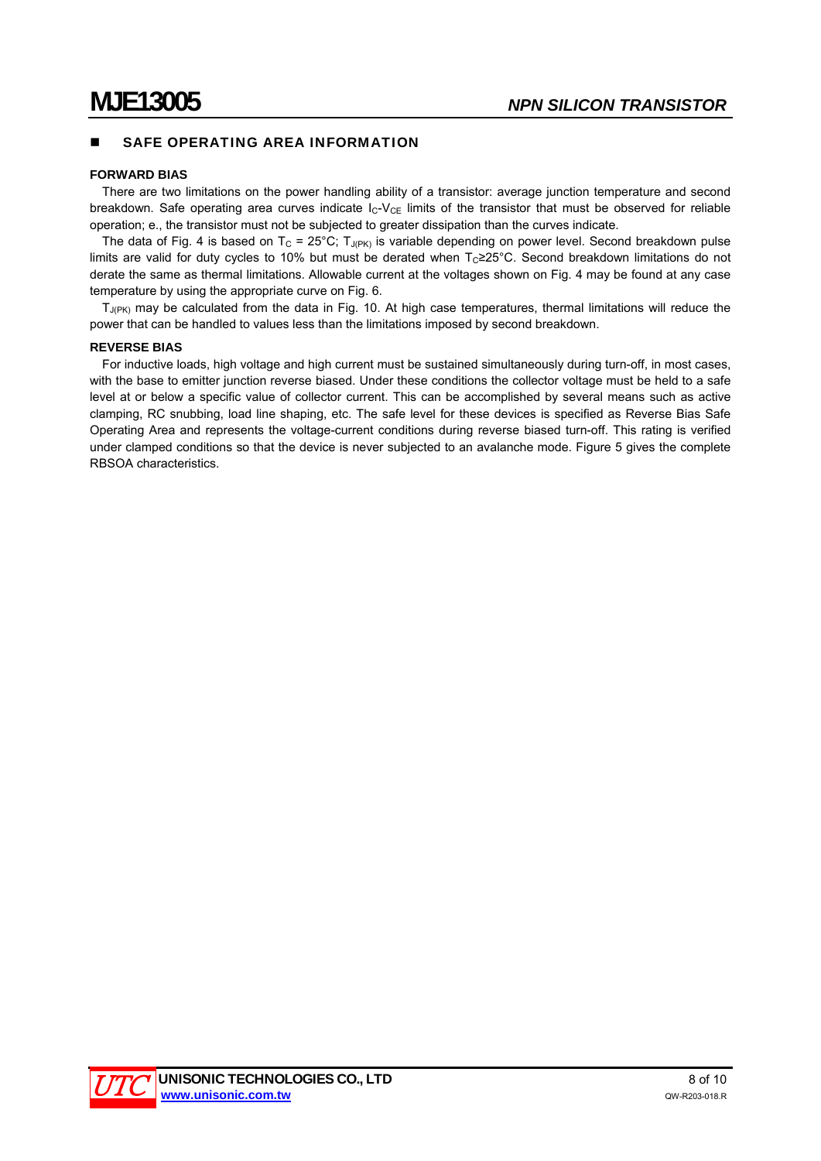## SAFE OPERATING AREA INFORMATION

### **FORWARD BIAS**

There are two limitations on the power handling ability of a transistor: average junction temperature and second breakdown. Safe operating area curves indicate  $I_C-V_{CE}$  limits of the transistor that must be observed for reliable operation; e., the transistor must not be subjected to greater dissipation than the curves indicate.

The data of Fig. 4 is based on T<sub>C</sub> = 25°C; T<sub>J(PK)</sub> is variable depending on power level. Second breakdown pulse limits are valid for duty cycles to 10% but must be derated when Tc≥25°C. Second breakdown limitations do not derate the same as thermal limitations. Allowable current at the voltages shown on Fig. 4 may be found at any case temperature by using the appropriate curve on Fig. 6.

 $T_{J(PK)}$  may be calculated from the data in Fig. 10. At high case temperatures, thermal limitations will reduce the power that can be handled to values less than the limitations imposed by second breakdown.

### **REVERSE BIAS**

For inductive loads, high voltage and high current must be sustained simultaneously during turn-off, in most cases, with the base to emitter junction reverse biased. Under these conditions the collector voltage must be held to a safe level at or below a specific value of collector current. This can be accomplished by several means such as active clamping, RC snubbing, load line shaping, etc. The safe level for these devices is specified as Reverse Bias Safe Operating Area and represents the voltage-current conditions during reverse biased turn-off. This rating is verified under clamped conditions so that the device is never subjected to an avalanche mode. Figure 5 gives the complete RBSOA characteristics.

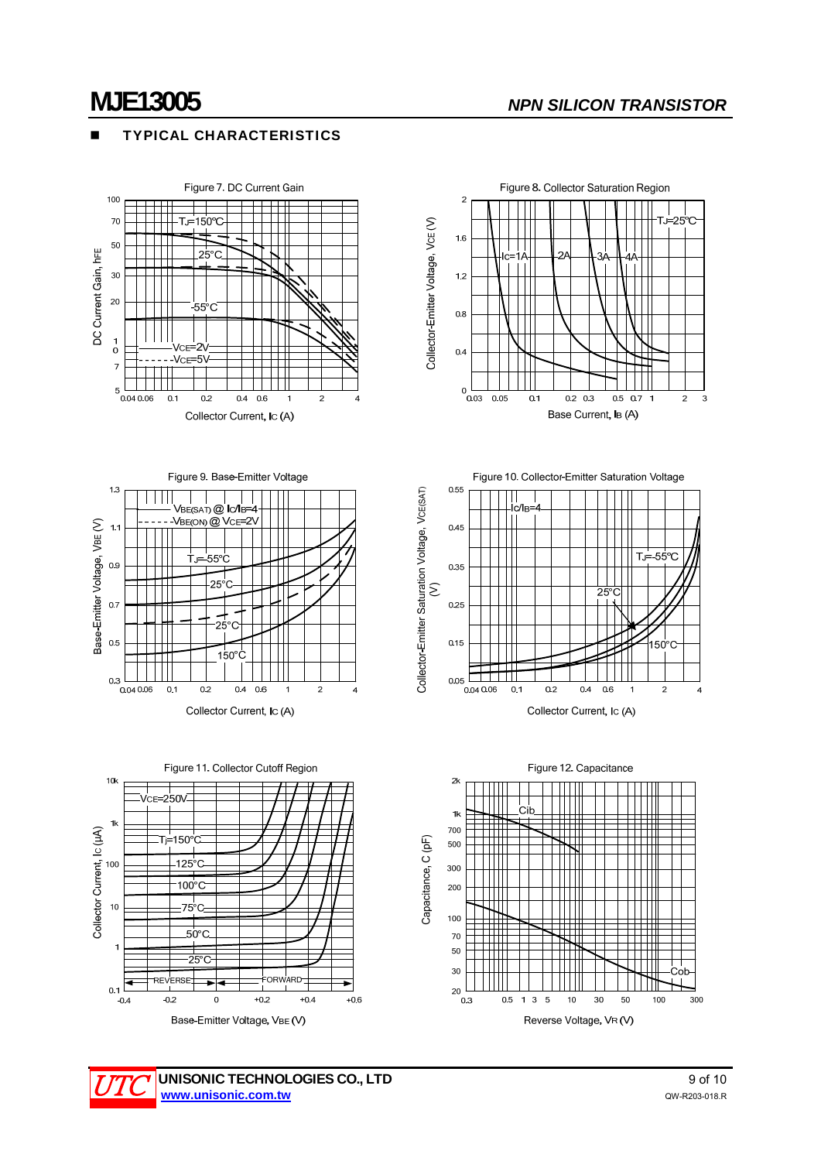## TYPICAL CHARACTERISTICS